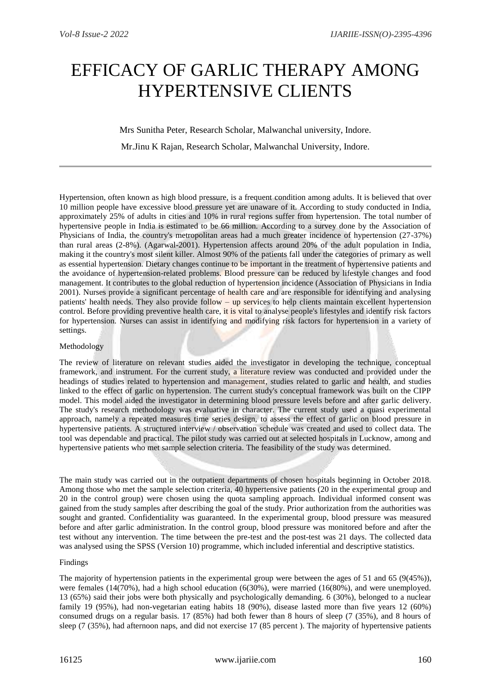# EFFICACY OF GARLIC THERAPY AMONG HYPERTENSIVE CLIENTS

# Mrs Sunitha Peter, Research Scholar, Malwanchal university, Indore.

Mr.Jinu K Rajan, Research Scholar, Malwanchal University, Indore.

Hypertension, often known as high blood pressure, is a frequent condition among adults. It is believed that over 10 million people have excessive blood pressure yet are unaware of it. According to study conducted in India, approximately 25% of adults in cities and 10% in rural regions suffer from hypertension. The total number of hypertensive people in India is estimated to be 66 million. According to a survey done by the Association of Physicians of India, the country's metropolitan areas had a much greater incidence of hypertension (27-37%) than rural areas (2-8%). (Agarwal-2001). Hypertension affects around 20% of the adult population in India, making it the country's most silent killer. Almost 90% of the patients fall under the categories of primary as well as essential hypertension. Dietary changes continue to be important in the treatment of hypertensive patients and the avoidance of hypertension-related problems. Blood pressure can be reduced by lifestyle changes and food management. It contributes to the global reduction of hypertension incidence (Association of Physicians in India 2001). Nurses provide a significant percentage of health care and are responsible for identifying and analysing patients' health needs. They also provide follow – up services to help clients maintain excellent hypertension control. Before providing preventive health care, it is vital to analyse people's lifestyles and identify risk factors for hypertension. Nurses can assist in identifying and modifying risk factors for hypertension in a variety of settings.

## Methodology

The review of literature on relevant studies aided the investigator in developing the technique, conceptual framework, and instrument. For the current study, a literature review was conducted and provided under the headings of studies related to hypertension and management, studies related to garlic and health, and studies linked to the effect of garlic on hypertension. The current study's conceptual framework was built on the CIPP model. This model aided the investigator in determining blood pressure levels before and after garlic delivery. The study's research methodology was evaluative in character. The current study used a quasi experimental approach, namely a repeated measures time series design, to assess the effect of garlic on blood pressure in hypertensive patients. A structured interview / observation schedule was created and used to collect data. The tool was dependable and practical. The pilot study was carried out at selected hospitals in Lucknow, among and hypertensive patients who met sample selection criteria. The feasibility of the study was determined.

The main study was carried out in the outpatient departments of chosen hospitals beginning in October 2018. Among those who met the sample selection criteria, 40 hypertensive patients (20 in the experimental group and 20 in the control group) were chosen using the quota sampling approach. Individual informed consent was gained from the study samples after describing the goal of the study. Prior authorization from the authorities was sought and granted. Confidentiality was guaranteed. In the experimental group, blood pressure was measured before and after garlic administration. In the control group, blood pressure was monitored before and after the test without any intervention. The time between the pre-test and the post-test was 21 days. The collected data was analysed using the SPSS (Version 10) programme, which included inferential and descriptive statistics.

#### Findings

The majority of hypertension patients in the experimental group were between the ages of 51 and 65 ( $9(45\%)$ ), were females (14(70%), had a high school education (6(30%), were married (16(80%), and were unemployed. 13 (65%) said their jobs were both physically and psychologically demanding. 6 (30%), belonged to a nuclear family 19 (95%), had non-vegetarian eating habits 18 (90%), disease lasted more than five years 12 (60%) consumed drugs on a regular basis. 17 (85%) had both fewer than 8 hours of sleep (7 (35%), and 8 hours of sleep (7 (35%), had afternoon naps, and did not exercise 17 (85 percent ). The majority of hypertensive patients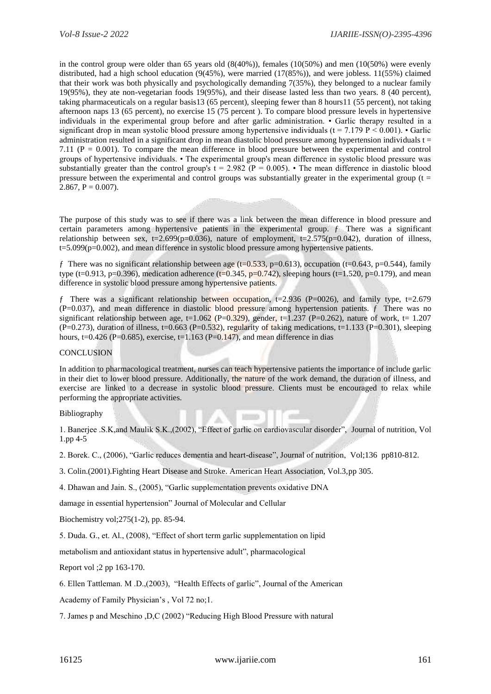in the control group were older than 65 years old (8(40%)), females (10(50%) and men (10(50%) were evenly distributed, had a high school education (9(45%), were married (17(85%)), and were jobless. 11(55%) claimed that their work was both physically and psychologically demanding 7(35%), they belonged to a nuclear family 19(95%), they ate non-vegetarian foods 19(95%), and their disease lasted less than two years. 8 (40 percent), taking pharmaceuticals on a regular basis13 (65 percent), sleeping fewer than 8 hours11 (55 percent), not taking afternoon naps 13 (65 percent), no exercise 15 (75 percent ). To compare blood pressure levels in hypertensive individuals in the experimental group before and after garlic administration. • Garlic therapy resulted in a significant drop in mean systolic blood pressure among hypertensive individuals ( $t = 7.179$  P < 0.001). • Garlic administration resulted in a significant drop in mean diastolic blood pressure among hypertension individuals  $t =$ 7.11 ( $P = 0.001$ ). To compare the mean difference in blood pressure between the experimental and control groups of hypertensive individuals. • The experimental group's mean difference in systolic blood pressure was substantially greater than the control group's  $t = 2.982$  ( $P = 0.005$ ). • The mean difference in diastolic blood pressure between the experimental and control groups was substantially greater in the experimental group ( $t =$ 2.867,  $P = 0.007$ ).

The purpose of this study was to see if there was a link between the mean difference in blood pressure and certain parameters among hypertensive patients in the experimental group. ƒ There was a significant relationship between sex, t=2.699(p=0.036), nature of employment, t=2.575(p=0.042), duration of illness, t=5.099(p=0.002), and mean difference in systolic blood pressure among hypertensive patients.

f There was no significant relationship between age (t=0.533, p=0.613), occupation (t=0.643, p=0.544), family type (t=0.913, p=0.396), medication adherence (t=0.345, p=0.742), sleeping hours (t=1.520, p=0.179), and mean difference in systolic blood pressure among hypertensive patients.

f There was a significant relationship between occupation,  $t=2.936$  (P=0026), and family type,  $t=2.679$  $(P=0.037)$ , and mean difference in diastolic blood pressure among hypertension patients.  $f$  There was no significant relationship between age, t=1.062 (P=0.329), gender, t=1.237 (P=0.262), nature of work, t= 1.207  $(P=0.273)$ , duration of illness, t=0.663 (P=0.532), regularity of taking medications, t=1.133 (P=0.301), sleeping hours, t=0.426 (P=0.685), exercise, t=1.163 (P=0.147), and mean difference in dias

## **CONCLUSION**

In addition to pharmacological treatment, nurses can teach hypertensive patients the importance of include garlic in their diet to lower blood pressure. Additionally, the nature of the work demand, the duration of illness, and exercise are linked to a decrease in systolic blood pressure. Clients must be encouraged to relax while performing the appropriate activities.

#### Bibliography

1. Banerjee .S.K,and Maulik S.K.,(2002), "Effect of garlic on cardiovascular disorder", Journal of nutrition, Vol 1.pp 4-5

10mm/dr.

×

2. Borek. C., (2006), "Garlic reduces dementia and heart-disease", Journal of nutrition, Vol;136 pp810-812.

3. Colin.(2001).Fighting Heart Disease and Stroke. American Heart Association, Vol.3,pp 305.

4. Dhawan and Jain. S., (2005), "Garlic supplementation prevents oxidative DNA

damage in essential hypertension" Journal of Molecular and Cellular

Biochemistry vol;275(1-2), pp. 85-94.

5. Duda. G., et. Al., (2008), "Effect of short term garlic supplementation on lipid

metabolism and antioxidant status in hypertensive adult", pharmacological

Report vol ;2 pp 163-170.

6. Ellen Tattleman. M .D.,(2003), "Health Effects of garlic", Journal of the American

Academy of Family Physician's , Vol 72 no;1.

7. James p and Meschino ,D,C (2002) "Reducing High Blood Pressure with natural